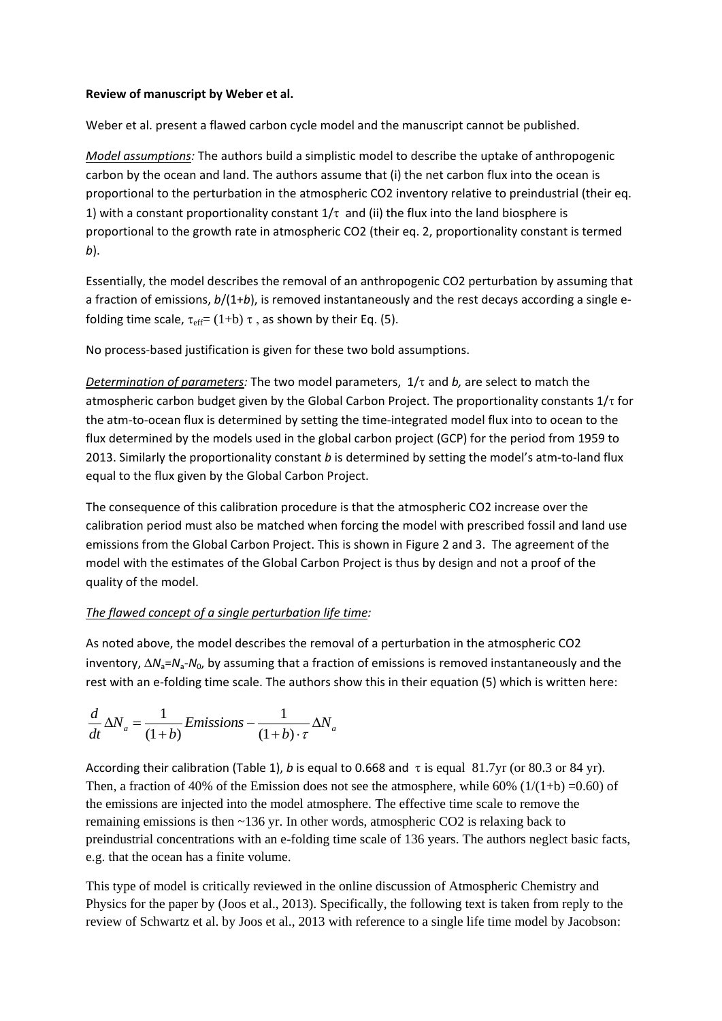### **Review of manuscript by Weber et al.**

Weber et al. present a flawed carbon cycle model and the manuscript cannot be published.

*Model assumptions:* The authors build a simplistic model to describe the uptake of anthropogenic carbon by the ocean and land. The authors assume that (i) the net carbon flux into the ocean is proportional to the perturbation in the atmospheric CO2 inventory relative to preindustrial (their eq. 1) with a constant proportionality constant  $1/\tau$  and (ii) the flux into the land biosphere is proportional to the growth rate in atmospheric CO2 (their eq. 2, proportionality constant is termed *b*).

Essentially, the model describes the removal of an anthropogenic CO2 perturbation by assuming that a fraction of emissions, *b*/(1+*b*), is removed instantaneously and the rest decays according a single efolding time scale,  $\tau_{\text{eff}} = (1+b) \tau$ , as shown by their Eq. (5).

No process-based justification is given for these two bold assumptions.

*Determination of parameters:* The two model parameters,  $1/\tau$  and *b*, are select to match the atmospheric carbon budget given by the Global Carbon Project. The proportionality constants  $1/\tau$  for the atm-to-ocean flux is determined by setting the time-integrated model flux into to ocean to the flux determined by the models used in the global carbon project (GCP) for the period from 1959 to 2013. Similarly the proportionality constant *b* is determined by setting the model's atm-to-land flux equal to the flux given by the Global Carbon Project.

The consequence of this calibration procedure is that the atmospheric CO2 increase over the calibration period must also be matched when forcing the model with prescribed fossil and land use emissions from the Global Carbon Project. This is shown in Figure 2 and 3. The agreement of the model with the estimates of the Global Carbon Project is thus by design and not a proof of the quality of the model.

# *The flawed concept of a single perturbation life time:*

As noted above, the model describes the removal of a perturbation in the atmospheric CO2 inventory,  $\Delta N_a = N_a - N_0$ , by assuming that a fraction of emissions is removed instantaneously and the rest with an e-folding time scale. The authors show this in their equation (5) which is written here:<br>  $\frac{d}{d\Delta N} = \frac{1}{2\pi m} E$  Finissions  $-\frac{1}{2\pi m}$  AN

$$
\frac{d}{dt}\Delta N_a = \frac{1}{(1+b)}Emissions - \frac{1}{(1+b)\cdot\tau}\Delta N_a
$$

According their calibration (Table 1), *b* is equal to 0.668 and  $\tau$  is equal 81.7yr (or 80.3 or 84 yr). Then, a fraction of 40% of the Emission does not see the atmosphere, while 60% ( $1/(1+b) = 0.60$ ) of the emissions are injected into the model atmosphere. The effective time scale to remove the remaining emissions is then ~136 yr. In other words, atmospheric CO2 is relaxing back to preindustrial concentrations with an e-folding time scale of 136 years. The authors neglect basic facts, e.g. that the ocean has a finite volume.

This type of model is critically reviewed in the online discussion of Atmospheric Chemistry and Physics for the paper by [\(Joos et al., 2013\)](#page-4-0). Specifically, the following text is taken from reply to the review of Schwartz et al. by Joos et al., 2013 with reference to a single life time model by Jacobson: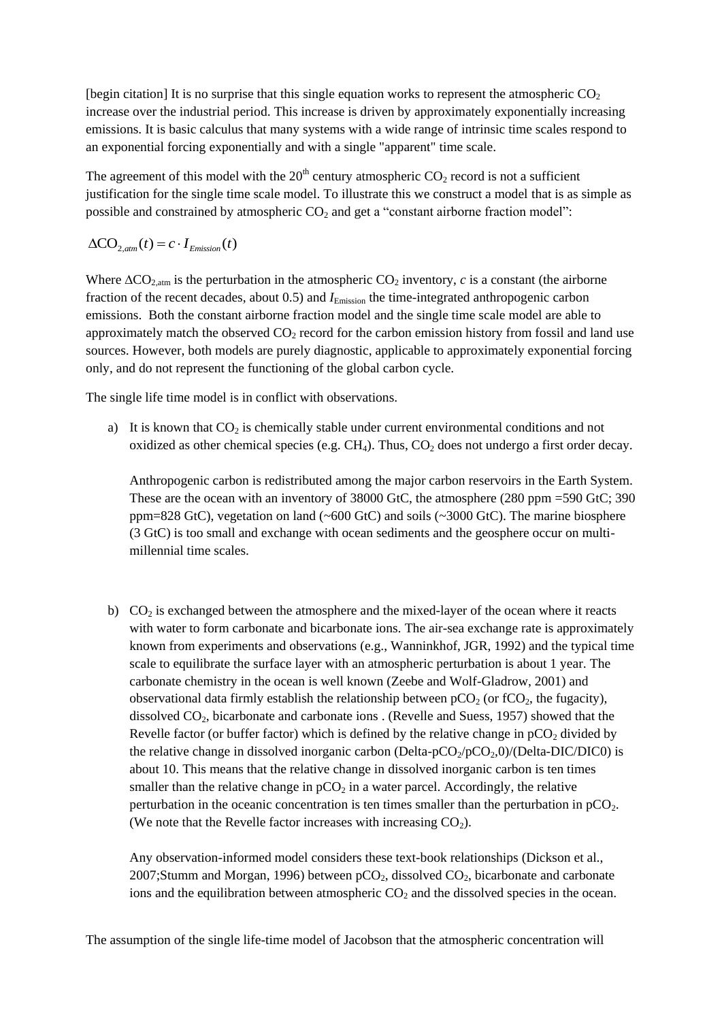[begin citation] It is no surprise that this single equation works to represent the atmospheric  $CO<sub>2</sub>$ increase over the industrial period. This increase is driven by approximately exponentially increasing emissions. It is basic calculus that many systems with a wide range of intrinsic time scales respond to an exponential forcing exponentially and with a single "apparent" time scale.

The agreement of this model with the  $20<sup>th</sup>$  century atmospheric CO<sub>2</sub> record is not a sufficient justification for the single time scale model. To illustrate this we construct a model that is as simple as possible and constrained by atmospheric  $CO<sub>2</sub>$  and get a "constant airborne fraction model":

$$
\Delta CO_{2,atm}(t) = c \cdot I_{Emission}(t)
$$

Where  $\Delta CO_{2,atm}$  is the perturbation in the atmospheric  $CO_2$  inventory, *c* is a constant (the airborne fraction of the recent decades, about 0.5) and *I*<sub>Emission</sub> the time-integrated anthropogenic carbon emissions. Both the constant airborne fraction model and the single time scale model are able to approximately match the observed  $CO<sub>2</sub>$  record for the carbon emission history from fossil and land use sources. However, both models are purely diagnostic, applicable to approximately exponential forcing only, and do not represent the functioning of the global carbon cycle.

The single life time model is in conflict with observations.

a) It is known that  $CO<sub>2</sub>$  is chemically stable under current environmental conditions and not oxidized as other chemical species (e.g.  $CH<sub>4</sub>$ ). Thus,  $CO<sub>2</sub>$  does not undergo a first order decay.

Anthropogenic carbon is redistributed among the major carbon reservoirs in the Earth System. These are the ocean with an inventory of 38000 GtC, the atmosphere (280 ppm =590 GtC; 390 ppm=828 GtC), vegetation on land ( $\sim 600$  GtC) and soils ( $\sim 3000$  GtC). The marine biosphere (3 GtC) is too small and exchange with ocean sediments and the geosphere occur on multimillennial time scales.

b)  $CO<sub>2</sub>$  is exchanged between the atmosphere and the mixed-layer of the ocean where it reacts with water to form carbonate and bicarbonate ions. The air-sea exchange rate is approximately known from experiments and observations (e.g., Wanninkhof, JGR, 1992) and the typical time scale to equilibrate the surface layer with an atmospheric perturbation is about 1 year. The carbonate chemistry in the ocean is well known [\(Zeebe and Wolf-Gladrow, 2001\)](#page-4-1) and observational data firmly establish the relationship between  $pCO<sub>2</sub>$  (or fCO<sub>2</sub>, the fugacity), dissolved CO2, bicarbonate and carbonate ions . [\(Revelle and Suess, 1957\)](#page-4-2) showed that the Revelle factor (or buffer factor) which is defined by the relative change in  $pCO<sub>2</sub>$  divided by the relative change in dissolved inorganic carbon (Delta- $pCO<sub>2</sub>/pCO<sub>2</sub>,0)/(Delta-DIC/DIC0)$  is about 10. This means that the relative change in dissolved inorganic carbon is ten times smaller than the relative change in  $pCO<sub>2</sub>$  in a water parcel. Accordingly, the relative perturbation in the oceanic concentration is ten times smaller than the perturbation in  $pCO<sub>2</sub>$ . (We note that the Revelle factor increases with increasing  $CO<sub>2</sub>$ ).

Any observation-informed model considers these text-book relationships [\(Dickson et al.,](#page-4-3)  [2007;](#page-4-3)[Stumm and Morgan, 1996\)](#page-4-4) between  $pCO<sub>2</sub>$ , dissolved  $CO<sub>2</sub>$ , bicarbonate and carbonate ions and the equilibration between atmospheric  $CO<sub>2</sub>$  and the dissolved species in the ocean.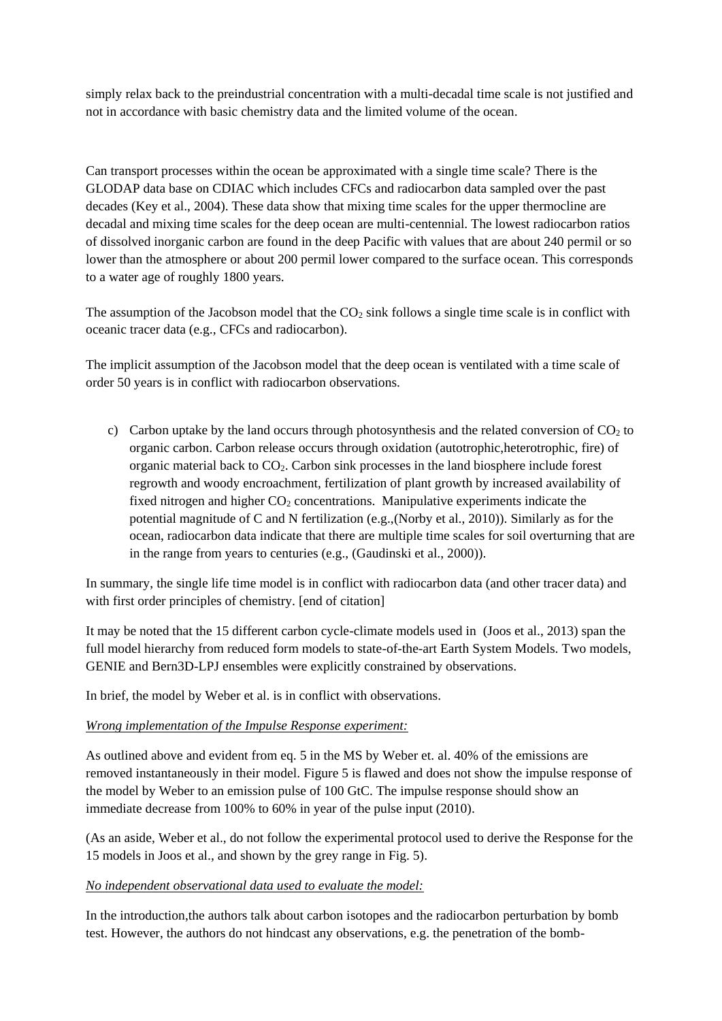simply relax back to the preindustrial concentration with a multi-decadal time scale is not justified and not in accordance with basic chemistry data and the limited volume of the ocean.

Can transport processes within the ocean be approximated with a single time scale? There is the GLODAP data base on CDIAC which includes CFCs and radiocarbon data sampled over the past decades [\(Key et al., 2004\)](#page-4-5). These data show that mixing time scales for the upper thermocline are decadal and mixing time scales for the deep ocean are multi-centennial. The lowest radiocarbon ratios of dissolved inorganic carbon are found in the deep Pacific with values that are about 240 permil or so lower than the atmosphere or about 200 permil lower compared to the surface ocean. This corresponds to a water age of roughly 1800 years.

The assumption of the Jacobson model that the  $CO<sub>2</sub>$  sink follows a single time scale is in conflict with oceanic tracer data (e.g., CFCs and radiocarbon).

The implicit assumption of the Jacobson model that the deep ocean is ventilated with a time scale of order 50 years is in conflict with radiocarbon observations.

c) Carbon uptake by the land occurs through photosynthesis and the related conversion of  $CO<sub>2</sub>$  to organic carbon. Carbon release occurs through oxidation (autotrophic,heterotrophic, fire) of organic material back to  $CO<sub>2</sub>$ . Carbon sink processes in the land biosphere include forest regrowth and woody encroachment, fertilization of plant growth by increased availability of fixed nitrogen and higher  $CO<sub>2</sub>$  concentrations. Manipulative experiments indicate the potential magnitude of C and N fertilization (e.g.,[\(Norby et al., 2010\)](#page-4-6)). Similarly as for the ocean, radiocarbon data indicate that there are multiple time scales for soil overturning that are in the range from years to centuries (e.g., [\(Gaudinski et al., 2000\)](#page-4-7)).

In summary, the single life time model is in conflict with radiocarbon data (and other tracer data) and with first order principles of chemistry. [end of citation]

It may be noted that the 15 different carbon cycle-climate models used in [\(Joos et al., 2013\)](#page-4-0) span the full model hierarchy from reduced form models to state-of-the-art Earth System Models. Two models, GENIE and Bern3D-LPJ ensembles were explicitly constrained by observations.

In brief, the model by Weber et al. is in conflict with observations.

#### *Wrong implementation of the Impulse Response experiment:*

As outlined above and evident from eq. 5 in the MS by Weber et. al. 40% of the emissions are removed instantaneously in their model. Figure 5 is flawed and does not show the impulse response of the model by Weber to an emission pulse of 100 GtC. The impulse response should show an immediate decrease from 100% to 60% in year of the pulse input (2010).

(As an aside, Weber et al., do not follow the experimental protocol used to derive the Response for the 15 models in Joos et al., and shown by the grey range in Fig. 5).

#### *No independent observational data used to evaluate the model:*

In the introduction,the authors talk about carbon isotopes and the radiocarbon perturbation by bomb test. However, the authors do not hindcast any observations, e.g. the penetration of the bomb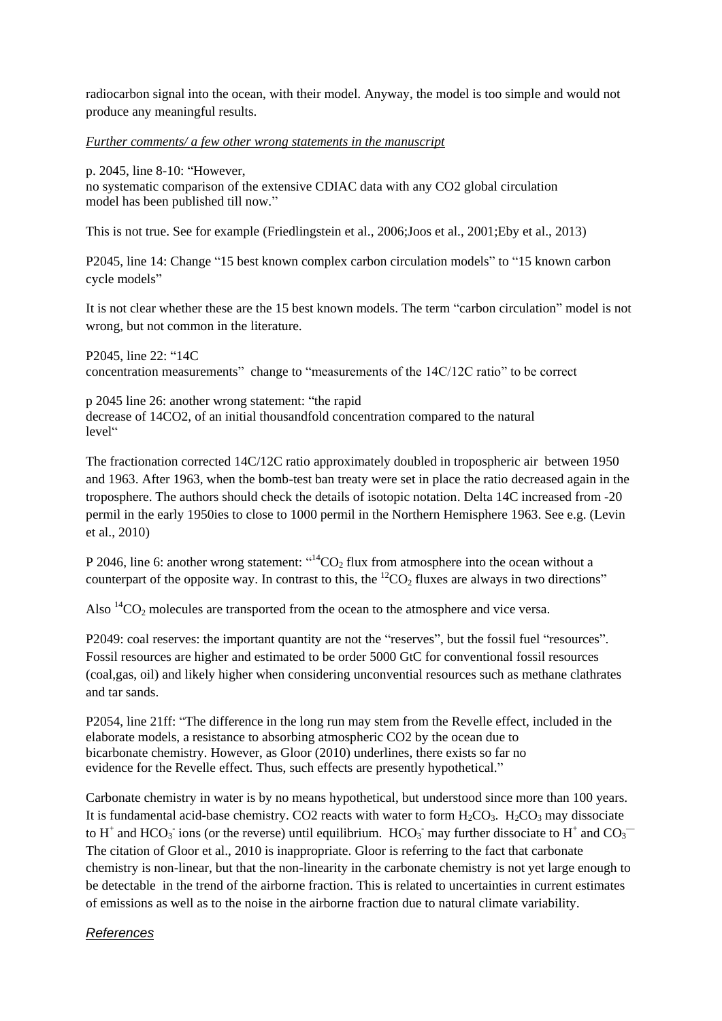radiocarbon signal into the ocean, with their model. Anyway, the model is too simple and would not produce any meaningful results.

### *Further comments/ a few other wrong statements in the manuscript*

p. 2045, line 8-10: "However,

no systematic comparison of the extensive CDIAC data with any CO2 global circulation model has been published till now."

This is not true. See for example [\(Friedlingstein et al., 2006;](#page-4-8)[Joos et al., 2001](#page-4-9)[;Eby et al., 2013\)](#page-4-10)

P2045, line 14: Change "15 best known complex carbon circulation models" to "15 known carbon cycle models"

It is not clear whether these are the 15 best known models. The term "carbon circulation" model is not wrong, but not common in the literature.

P2045, line 22: "14C concentration measurements" change to "measurements of the 14C/12C ratio" to be correct

p 2045 line 26: another wrong statement: "the rapid decrease of 14CO2, of an initial thousandfold concentration compared to the natural level"

The fractionation corrected 14C/12C ratio approximately doubled in tropospheric air between 1950 and 1963. After 1963, when the bomb-test ban treaty were set in place the ratio decreased again in the troposphere. The authors should check the details of isotopic notation. Delta 14C increased from -20 permil in the early 1950ies to close to 1000 permil in the Northern Hemisphere 1963. See e.g. [\(Levin](#page-4-11)  [et al., 2010\)](#page-4-11)

P 2046, line 6: another wrong statement:  $14^4CO_2$  flux from atmosphere into the ocean without a counterpart of the opposite way. In contrast to this, the  ${}^{12}CO_2$  fluxes are always in two directions"

Also  ${}^{14}CO_2$  molecules are transported from the ocean to the atmosphere and vice versa.

P2049: coal reserves: the important quantity are not the "reserves", but the fossil fuel "resources". Fossil resources are higher and estimated to be order 5000 GtC for conventional fossil resources (coal,gas, oil) and likely higher when considering unconvential resources such as methane clathrates and tar sands.

P2054, line 21ff: "The difference in the long run may stem from the Revelle effect, included in the elaborate models, a resistance to absorbing atmospheric CO2 by the ocean due to bicarbonate chemistry. However, as Gloor (2010) underlines, there exists so far no evidence for the Revelle effect. Thus, such effects are presently hypothetical."

Carbonate chemistry in water is by no means hypothetical, but understood since more than 100 years. It is fundamental acid-base chemistry. CO2 reacts with water to form  $H_2CO_3$ .  $H_2CO_3$  may dissociate to H<sup>+</sup> and HCO<sub>3</sub> ions (or the reverse) until equilibrium. HCO<sub>3</sub> may further dissociate to H<sup>+</sup> and CO<sub>3</sub> The citation of Gloor et al., 2010 is inappropriate. Gloor is referring to the fact that carbonate chemistry is non-linear, but that the non-linearity in the carbonate chemistry is not yet large enough to be detectable in the trend of the airborne fraction. This is related to uncertainties in current estimates of emissions as well as to the noise in the airborne fraction due to natural climate variability.

# *References*